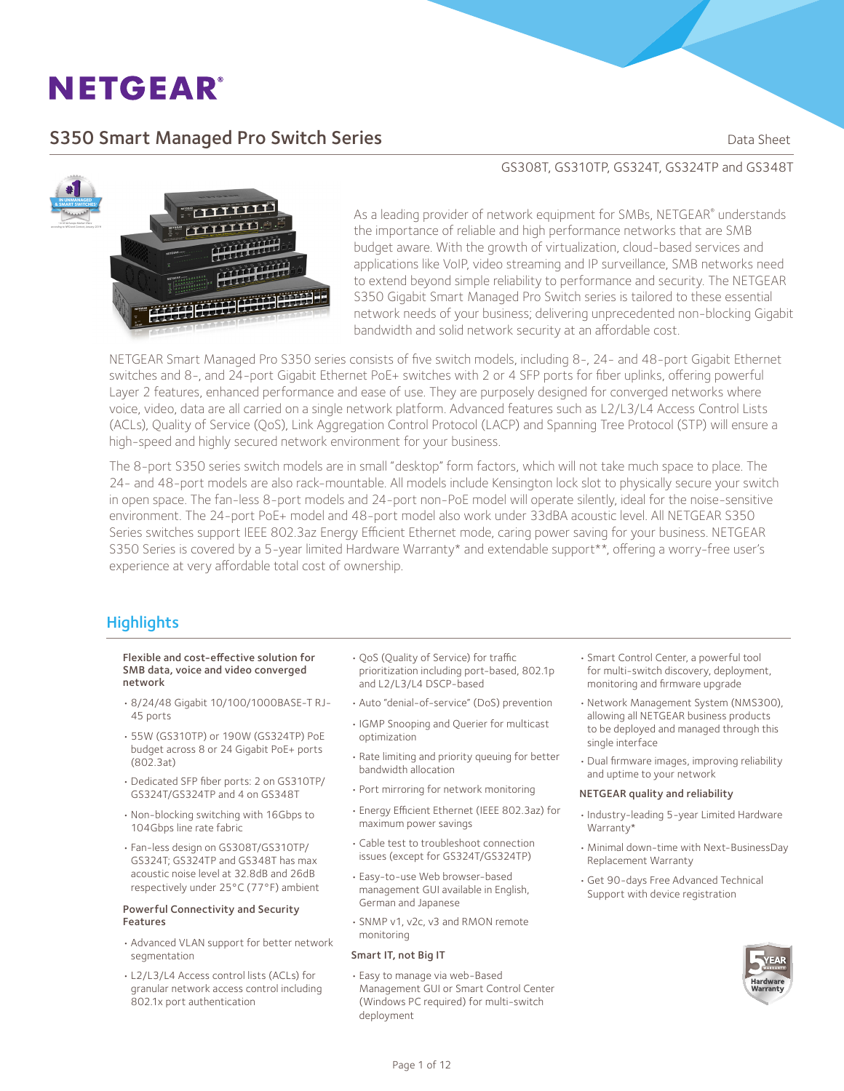## S350 Smart Managed Pro Switch Series **Sandware Communist Control** Data Sheet



#### GS308T, GS310TP, GS324T, GS324TP and GS348T

As a leading provider of network equipment for SMBs, NETGEAR® understands the importance of reliable and high performance networks that are SMB budget aware. With the growth of virtualization, cloud-based services and applications like VoIP, video streaming and IP surveillance, SMB networks need to extend beyond simple reliability to performance and security. The NETGEAR S350 Gigabit Smart Managed Pro Switch series is tailored to these essential network needs of your business; delivering unprecedented non-blocking Gigabit bandwidth and solid network security at an affordable cost.

NETGEAR Smart Managed Pro S350 series consists of five switch models, including 8-, 24- and 48-port Gigabit Ethernet switches and 8-, and 24-port Gigabit Ethernet PoE+ switches with 2 or 4 SFP ports for fiber uplinks, offering powerful Layer 2 features, enhanced performance and ease of use. They are purposely designed for converged networks where voice, video, data are all carried on a single network platform. Advanced features such as L2/L3/L4 Access Control Lists (ACLs), Quality of Service (QoS), Link Aggregation Control Protocol (LACP) and Spanning Tree Protocol (STP) will ensure a high-speed and highly secured network environment for your business.

The 8-port S350 series switch models are in small "desktop" form factors, which will not take much space to place. The 24- and 48-port models are also rack-mountable. All models include Kensington lock slot to physically secure your switch in open space. The fan-less 8-port models and 24-port non-PoE model will operate silently, ideal for the noise-sensitive environment. The 24-port PoE+ model and 48-port model also work under 33dBA acoustic level. All NETGEAR S350 Series switches support IEEE 802.3az Energy Efficient Ethernet mode, caring power saving for your business. NETGEAR S350 Series is covered by a 5-year limited Hardware Warranty\* and extendable support\*\*, offering a worry-free user's experience at very affordable total cost of ownership.

#### **Highlights**

#### Flexible and cost-effective solution for SMB data, voice and video converged network

- • 8/24/48 Gigabit 10/100/1000BASE-T RJ-45 ports
- • 55W (GS310TP) or 190W (GS324TP) PoE budget across 8 or 24 Gigabit PoE+ ports (802.3at)
- • Dedicated SFP fiber ports: 2 on GS310TP/ GS324T/GS324TP and 4 on GS348T
- • Non-blocking switching with 16Gbps to 104Gbps line rate fabric
- • Fan-less design on GS308T/GS310TP/ GS324T; GS324TP and GS348T has max acoustic noise level at 32.8dB and 26dB respectively under 25°C (77°F) ambient

#### Powerful Connectivity and Security Features

- • Advanced VLAN support for better network segmentation
- • L2/L3/L4 Access control lists (ACLs) for granular network access control including 802.1x port authentication
- • QoS (Quality of Service) for traffic prioritization including port-based, 802.1p and L2/L3/L4 DSCP-based
- • Auto "denial-of-service" (DoS) prevention
- • IGMP Snooping and Querier for multicast optimization
- • Rate limiting and priority queuing for better bandwidth allocation
- • Port mirroring for network monitoring
- • Energy Efficient Ethernet (IEEE 802.3az) for maximum power savings
- • Cable test to troubleshoot connection issues (except for GS324T/GS324TP)
- • Easy-to-use Web browser-based management GUI available in English, German and Japanese
- • SNMP v1, v2c, v3 and RMON remote monitoring

#### Smart IT, not Big IT

• Easy to manage via web-Based Management GUI or Smart Control Center (Windows PC required) for multi-switch deployment

- • Smart Control Center, a powerful tool for multi-switch discovery, deployment, monitoring and firmware upgrade
- • Network Management System (NMS300), allowing all NETGEAR business products to be deployed and managed through this single interface
- • Dual firmware images, improving reliability and uptime to your network

#### NETGEAR quality and reliability

- • Industry-leading 5-year Limited Hardware Warranty\*
- • Minimal down-time with Next-BusinessDay Replacement Warranty
- • Get 90-days Free Advanced Technical Support with device registration

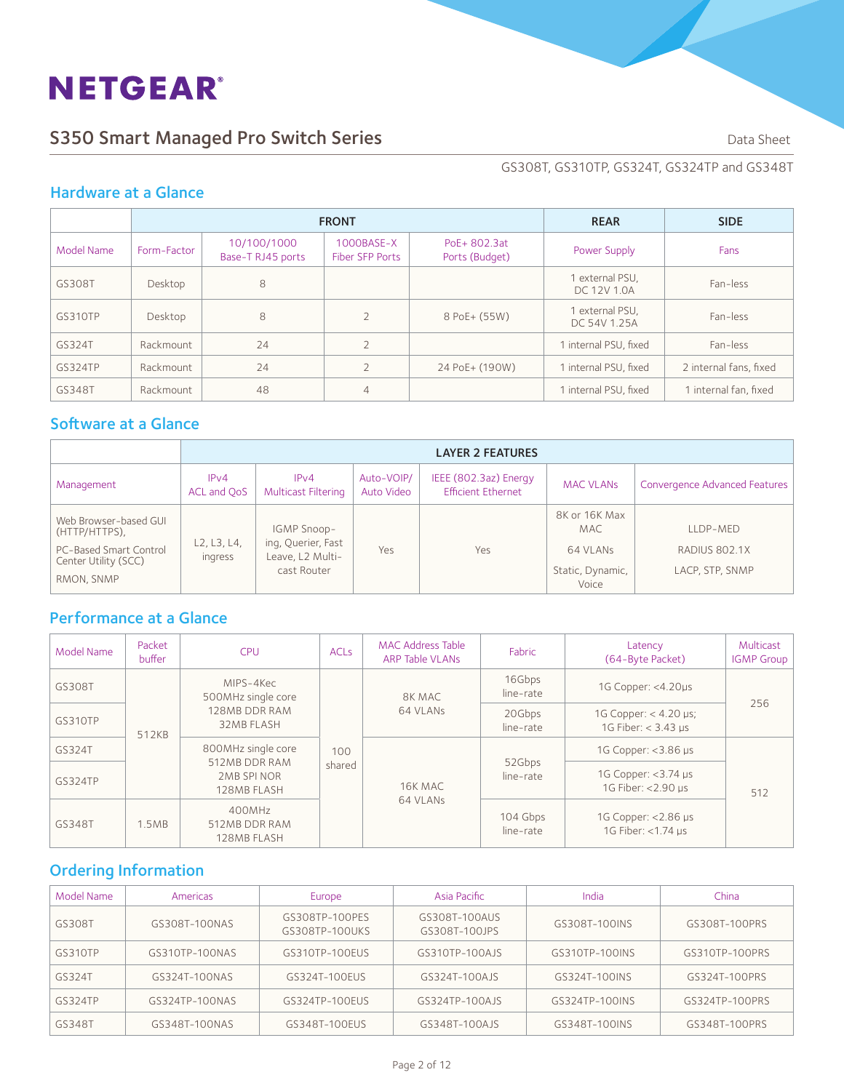## S350 Smart Managed Pro Switch Series **Data Sheet** Data Sheet

GS308T, GS310TP, GS324T, GS324TP and GS348T

#### Hardware at a Glance

|            |             | <b>FRONT</b>                     | <b>REAR</b>                      | <b>SIDE</b>                    |                                 |                        |
|------------|-------------|----------------------------------|----------------------------------|--------------------------------|---------------------------------|------------------------|
| Model Name | Form-Factor | 10/100/1000<br>Base-T RJ45 ports | $1000$ BASE-X<br>Fiber SFP Ports | PoE+ 802.3at<br>Ports (Budget) | Power Supply                    | Fans                   |
| GS308T     | Desktop     | 8                                |                                  |                                | 1 external PSU,<br>DC 12V 1.0A  | Fan-less               |
| GS310TP    | Desktop     | 8                                | $\overline{2}$                   | 8 PoE+ (55W)                   | 1 external PSU,<br>DC 54V 1.25A | Fan-less               |
| GS324T     | Rackmount   | 24                               | $\overline{2}$                   |                                | 1 internal PSU, fixed           | Fan-less               |
| GS324TP    | Rackmount   | 24                               |                                  | 24 PoE+ (190W)                 | 1 internal PSU, fixed           | 2 internal fans, fixed |
| GS348T     | Rackmount   | 48                               | $\overline{4}$                   |                                | 1 internal PSU, fixed           | 1 internal fan. fixed  |

## Software at a Glance

|                                                                                                        |                        | <b>LAYER 2 FEATURES</b>                                              |                          |                                                    |                                                                |                                              |  |  |
|--------------------------------------------------------------------------------------------------------|------------------------|----------------------------------------------------------------------|--------------------------|----------------------------------------------------|----------------------------------------------------------------|----------------------------------------------|--|--|
| Management                                                                                             | IPv4<br>ACL and OoS    | IPv4<br><b>Multicast Filtering</b>                                   | Auto-VOIP/<br>Auto Video | IEEE (802.3az) Energy<br><b>Efficient Ethernet</b> | <b>MAC VLANS</b>                                               | Convergence Advanced Features                |  |  |
| Web Browser-based GUL<br>(HTTP/HTTPS),<br>PC-Based Smart Control<br>Center Utility (SCC)<br>RMON, SNMP | L2, L3, L4,<br>ingress | IGMP Snoop-<br>ing, Querier, Fast<br>Leave, L2 Multi-<br>cast Router | Yes                      | Yes                                                | 8K or 16K Max<br>MAC.<br>64 VLANs<br>Static, Dynamic,<br>Voice | LLDP-MED<br>RADIUS 802.1X<br>LACP, STP, SNMP |  |  |

## Performance at a Glance

| Model Name     | Packet<br>buffer | <b>CPU</b>                                                       | <b>ACLs</b> | MAC Address Table<br><b>ARP Table VLANs</b> | Fabric                | Latency<br>(64-Byte Packet)                    | Multicast<br><b>IGMP Group</b> |  |  |  |  |                     |  |
|----------------|------------------|------------------------------------------------------------------|-------------|---------------------------------------------|-----------------------|------------------------------------------------|--------------------------------|--|--|--|--|---------------------|--|
| GS308T         |                  | MIPS-4Kec<br>500MHz single core                                  |             | 8K MAC                                      | 16Gbps<br>line-rate   | 1G Copper: <4.20µs                             |                                |  |  |  |  |                     |  |
| GS310TP        | 512KB            | 128MB DDR RAM<br>32MB FLASH                                      |             | 64 VLANs                                    | 20Gbps<br>line-rate   | 1G Copper: $<$ 4.20 µs;<br>1G Fiber: < 3.43 us | 256                            |  |  |  |  |                     |  |
| GS324T         |                  | 800MHz single core<br>512MB DDR RAM<br>2MB SPINOR<br>128MB FLASH |             | 100<br>shared<br>16K MAC                    |                       |                                                |                                |  |  |  |  | 1G Copper: <3.86 µs |  |
| <b>GS324TP</b> |                  |                                                                  |             |                                             | 52Gbps<br>line-rate   | 1G Copper: <3.74 µs<br>1G Fiber: <2.90 µs      | 512                            |  |  |  |  |                     |  |
| GS348T         | 1.5MB            | 400MHz<br>512MB DDR RAM<br>128MB FLASH                           |             | 64 VLANs                                    | 104 Gbps<br>line-rate | 1G Copper: <2.86 µs<br>1G Fiber: <1.74 us      |                                |  |  |  |  |                     |  |

### Ordering Information

| Model Name     | Americas       | Europe                           | Asia Pacific                   | India          | China          |
|----------------|----------------|----------------------------------|--------------------------------|----------------|----------------|
| GS308T         | GS308T-100NAS  | GS308TP-100PES<br>GS308TP-100UKS | GS308T-100AUS<br>GS308T-100JPS | GS308T-100INS  | GS308T-100PRS  |
| GS310TP        | GS310TP-100NAS | GS310TP-100EUS                   | GS310TP-100AJS                 | GS310TP-100INS | GS310TP-100PRS |
| GS324T         | GS324T-100NAS  | GS324T-100EUS                    | GS324T-100AJS                  | GS324T-100INS  | GS324T-100PRS  |
| <b>GS324TP</b> | GS324TP-100NAS | GS324TP-100EUS                   | GS324TP-100AJS                 | GS324TP-100INS | GS324TP-100PRS |
| GS348T         | GS348T-100NAS  | GS348T-100EUS                    | GS348T-100AJS                  | GS348T-100INS  | GS348T-100PRS  |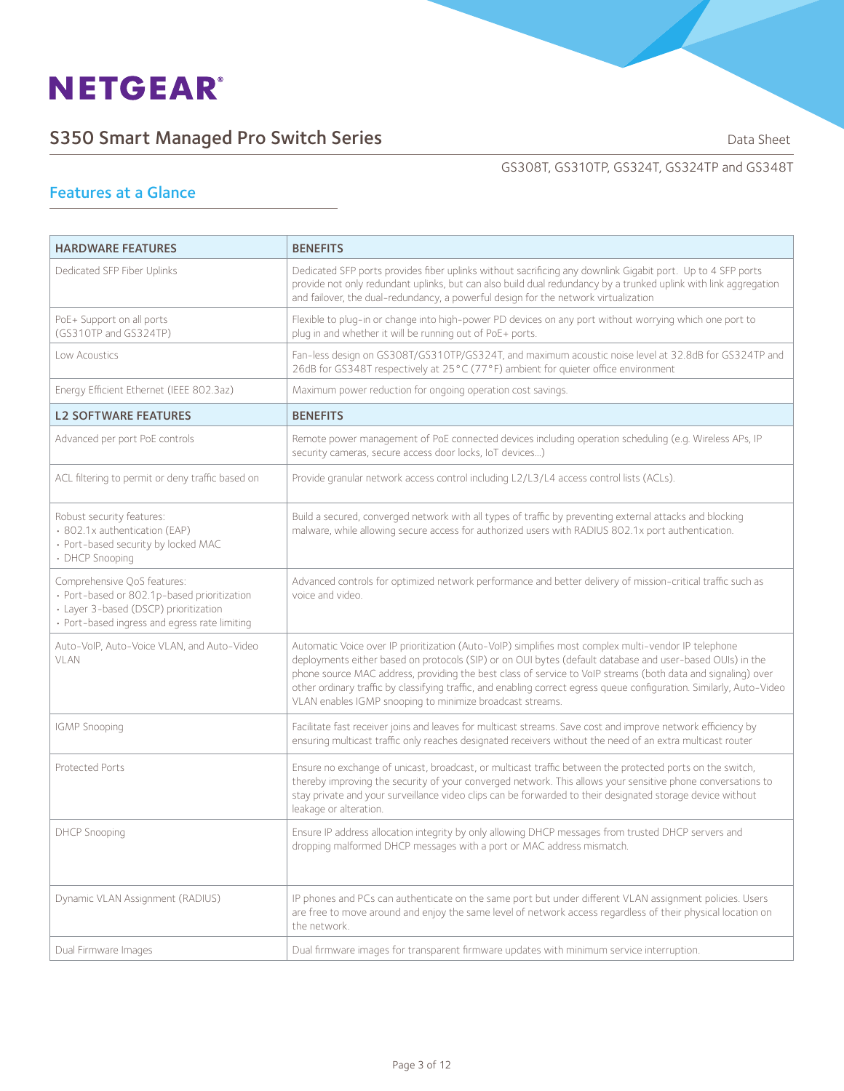

## S350 Smart Managed Pro Switch Series **Sandware Communist Contains Containers** Data Sheet

#### GS308T, GS310TP, GS324T, GS324TP and GS348T

### Features at a Glance

| <b>HARDWARE FEATURES</b>                                                                                                                                             | <b>BENEFITS</b>                                                                                                                                                                                                                                                                                                                                                                                                                                                                                                         |
|----------------------------------------------------------------------------------------------------------------------------------------------------------------------|-------------------------------------------------------------------------------------------------------------------------------------------------------------------------------------------------------------------------------------------------------------------------------------------------------------------------------------------------------------------------------------------------------------------------------------------------------------------------------------------------------------------------|
| Dedicated SFP Fiber Uplinks                                                                                                                                          | Dedicated SFP ports provides fiber uplinks without sacrificing any downlink Gigabit port. Up to 4 SFP ports<br>provide not only redundant uplinks, but can also build dual redundancy by a trunked uplink with link aggregation<br>and failover, the dual-redundancy, a powerful design for the network virtualization                                                                                                                                                                                                  |
| PoE+ Support on all ports<br>(GS310TP and GS324TP)                                                                                                                   | Flexible to plug-in or change into high-power PD devices on any port without worrying which one port to<br>plug in and whether it will be running out of PoE+ ports.                                                                                                                                                                                                                                                                                                                                                    |
| Low Acoustics                                                                                                                                                        | Fan-less design on GS308T/GS310TP/GS324T, and maximum acoustic noise level at 32.8dB for GS324TP and<br>26dB for GS348T respectively at 25°C (77°F) ambient for quieter office environment                                                                                                                                                                                                                                                                                                                              |
| Energy Efficient Ethernet (IEEE 802.3az)                                                                                                                             | Maximum power reduction for ongoing operation cost savings.                                                                                                                                                                                                                                                                                                                                                                                                                                                             |
| <b>L2 SOFTWARE FEATURES</b>                                                                                                                                          | <b>BENEFITS</b>                                                                                                                                                                                                                                                                                                                                                                                                                                                                                                         |
| Advanced per port PoE controls                                                                                                                                       | Remote power management of PoE connected devices including operation scheduling (e.g. Wireless APs, IP<br>security cameras, secure access door locks, IoT devices)                                                                                                                                                                                                                                                                                                                                                      |
| ACL filtering to permit or deny traffic based on                                                                                                                     | Provide granular network access control including L2/L3/L4 access control lists (ACLs).                                                                                                                                                                                                                                                                                                                                                                                                                                 |
| Robust security features:<br>· 802.1x authentication (EAP)<br>· Port-based security by locked MAC<br>• DHCP Snooping                                                 | Build a secured, converged network with all types of traffic by preventing external attacks and blocking<br>malware, while allowing secure access for authorized users with RADIUS 802.1x port authentication.                                                                                                                                                                                                                                                                                                          |
| Comprehensive QoS features:<br>· Port-based or 802.1p-based prioritization<br>· Layer 3-based (DSCP) prioritization<br>· Port-based ingress and egress rate limiting | Advanced controls for optimized network performance and better delivery of mission-critical traffic such as<br>voice and video.                                                                                                                                                                                                                                                                                                                                                                                         |
| Auto-VoIP, Auto-Voice VLAN, and Auto-Video<br>VLAN                                                                                                                   | Automatic Voice over IP prioritization (Auto-VoIP) simplifies most complex multi-vendor IP telephone<br>deployments either based on protocols (SIP) or on OUI bytes (default database and user-based OUIs) in the<br>phone source MAC address, providing the best class of service to VoIP streams (both data and signaling) over<br>other ordinary traffic by classifying traffic, and enabling correct egress queue configuration. Similarly, Auto-Video<br>VLAN enables IGMP snooping to minimize broadcast streams. |
| <b>IGMP Snooping</b>                                                                                                                                                 | Facilitate fast receiver joins and leaves for multicast streams. Save cost and improve network efficiency by<br>ensuring multicast traffic only reaches designated receivers without the need of an extra multicast router                                                                                                                                                                                                                                                                                              |
| Protected Ports                                                                                                                                                      | Ensure no exchange of unicast, broadcast, or multicast traffic between the protected ports on the switch,<br>thereby improving the security of your converged network. This allows your sensitive phone conversations to<br>stay private and your surveillance video clips can be forwarded to their designated storage device without<br>leakage or alteration.                                                                                                                                                        |
| <b>DHCP Snooping</b>                                                                                                                                                 | Ensure IP address allocation integrity by only allowing DHCP messages from trusted DHCP servers and<br>dropping malformed DHCP messages with a port or MAC address mismatch.                                                                                                                                                                                                                                                                                                                                            |
| Dynamic VLAN Assignment (RADIUS)                                                                                                                                     | IP phones and PCs can authenticate on the same port but under different VLAN assignment policies. Users<br>are free to move around and enjoy the same level of network access regardless of their physical location on<br>the network.                                                                                                                                                                                                                                                                                  |
| Dual Firmware Images                                                                                                                                                 | Dual firmware images for transparent firmware updates with minimum service interruption.                                                                                                                                                                                                                                                                                                                                                                                                                                |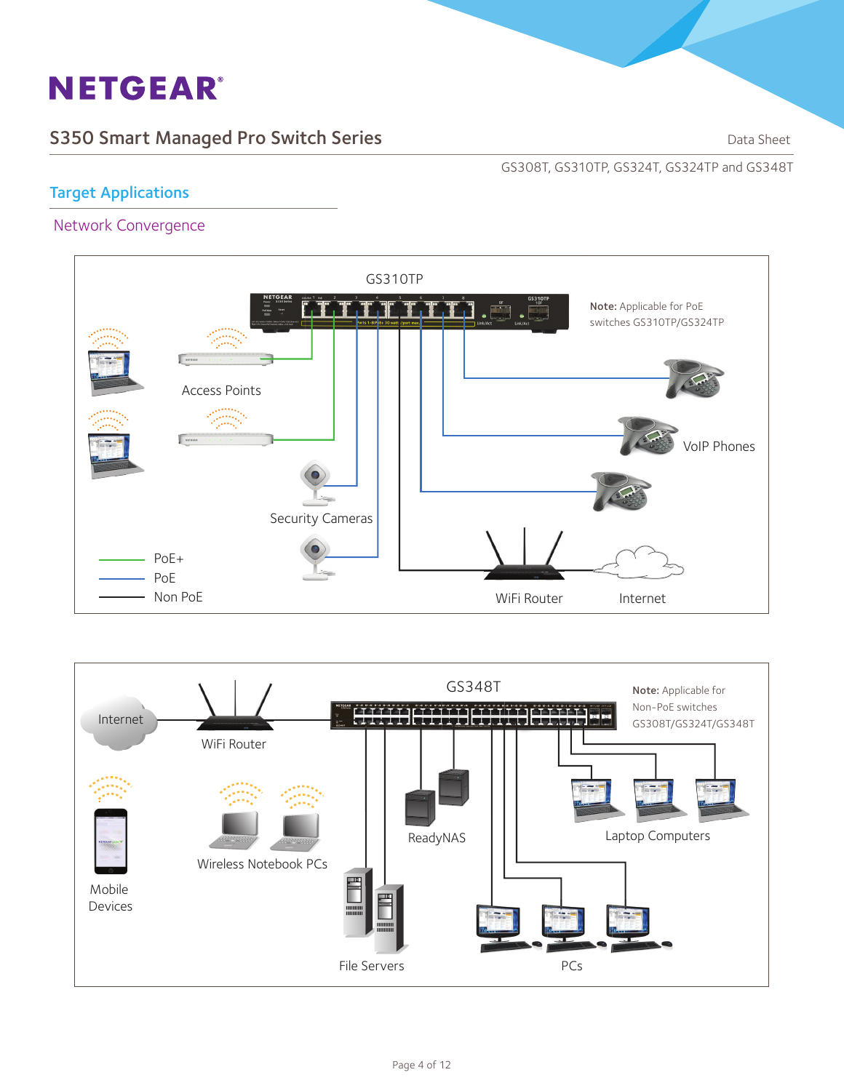## S350 Smart Managed Pro Switch Series **Sandware Control Control Control Control Control Control Control Control Control Control Control Control Control Control Control Control Control Control Control Control Control Control**

GS308T, GS310TP, GS324T, GS324TP and GS348T

### Target Applications

#### Network Convergence



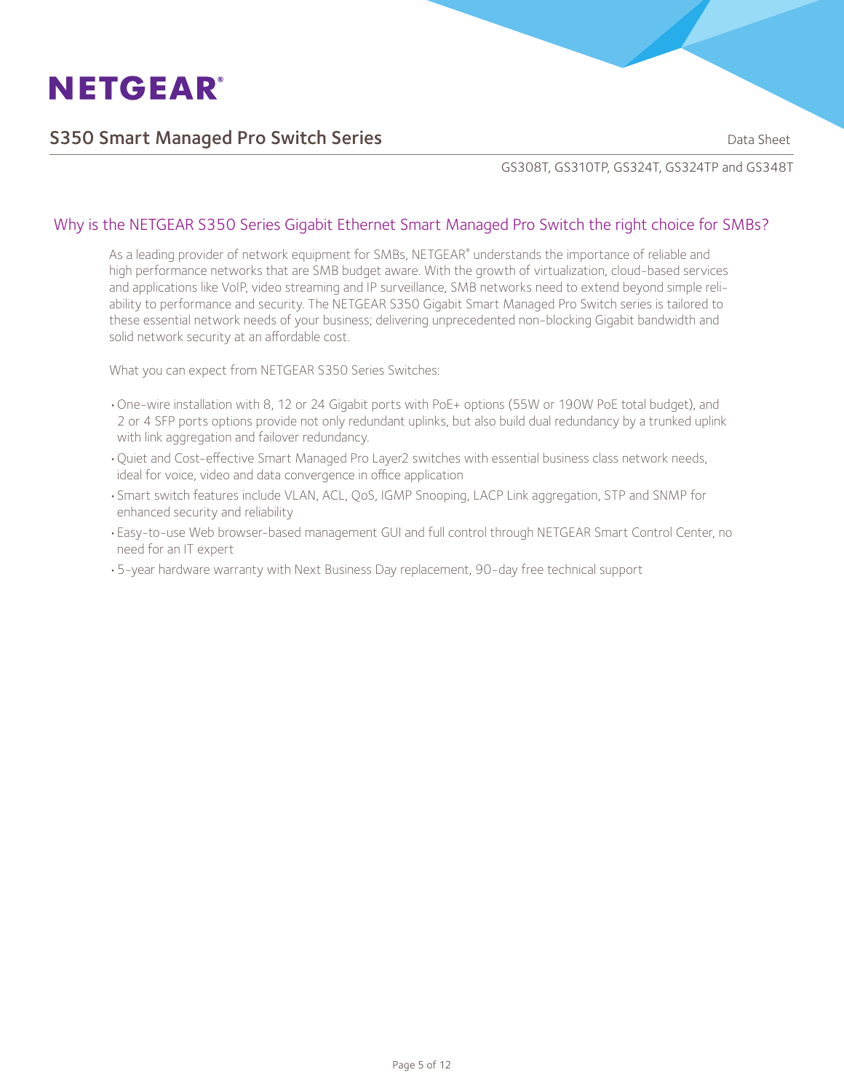

### S350 Smart Managed Pro Switch Series **Sandware Controllery and School Sheet** Data Sheet

GS308T, GS310TP, GS324T, GS324TP and GS348T

#### Why is the NETGEAR S350 Series Gigabit Ethernet Smart Managed Pro Switch the right choice for SMBs?

As a leading provider of network equipment for SMBs, NETGEAR® understands the importance of reliable and high performance networks that are SMB budget aware. With the growth of virtualization, cloud-based services and applications like VoIP, video streaming and IP surveillance, SMB networks need to extend beyond simple reliability to performance and security. The NETGEAR S350 Gigabit Smart Managed Pro Switch series is tailored to these essential network needs of your business; delivering unprecedented non-blocking Gigabit bandwidth and solid network security at an affordable cost.

What you can expect from NETGEAR S350 Series Switches:

- •One-wire installation with 8, 12 or 24 Gigabit ports with PoE+ options (55W or 190W PoE total budget), and 2 or 4 SFP ports options provide not only redundant uplinks, but also build dual redundancy by a trunked uplink with link aggregation and failover redundancy.
- •Quiet and Cost-effective Smart Managed Pro Layer2 switches with essential business class network needs, ideal for voice, video and data convergence in office application
- •Smart switch features include VLAN, ACL, QoS, IGMP Snooping, LACP Link aggregation, STP and SNMP for enhanced security and reliability
- •Easy-to-use Web browser-based management GUI and full control through NETGEAR Smart Control Center, no need for an IT expert
- •5-year hardware warranty with Next Business Day replacement, 90-day free technical support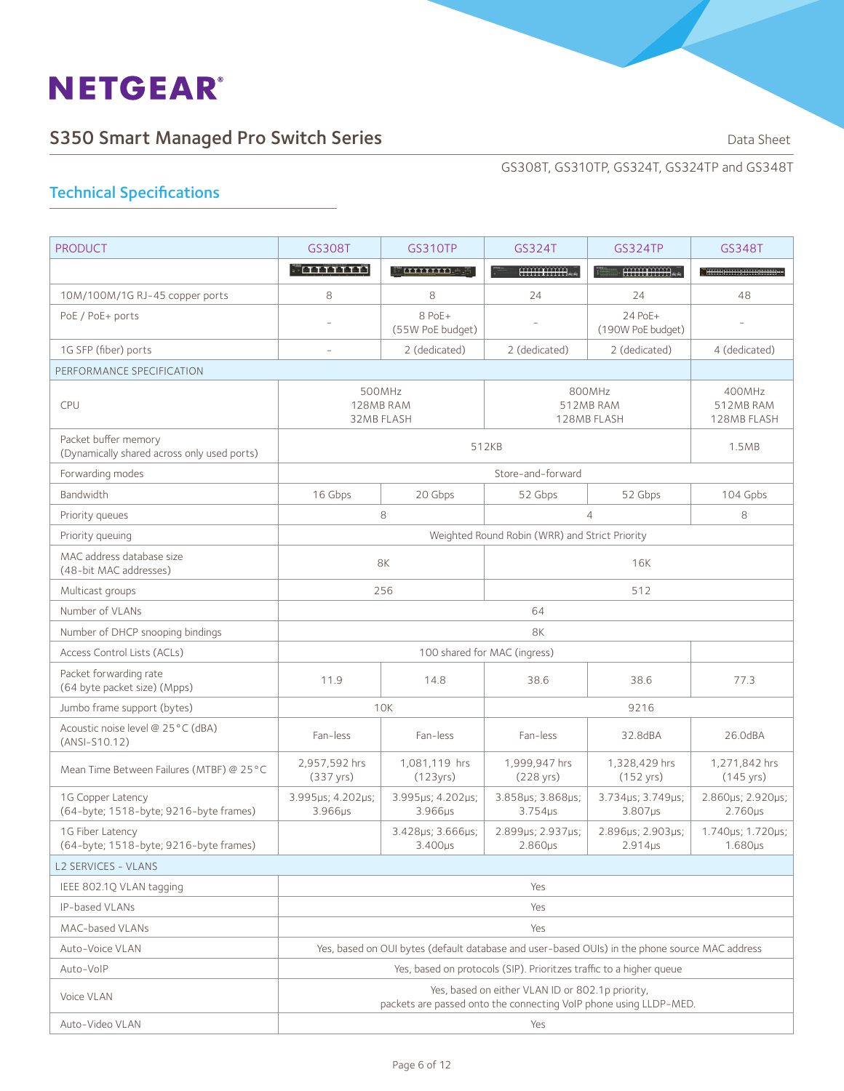## S350 Smart Managed Pro Switch Series **Sandware Struck and Script Containers** Data Sheet

GS308T, GS310TP, GS324T, GS324TP and GS348T

| <b>PRODUCT</b>                                                      | GS308T                       | <b>GS310TP</b>                                                                                 | GS324T                                                              | GS324TP                              | GS348T                               |  |
|---------------------------------------------------------------------|------------------------------|------------------------------------------------------------------------------------------------|---------------------------------------------------------------------|--------------------------------------|--------------------------------------|--|
|                                                                     | <u>Formann</u>               | <u>– uuuno a</u>                                                                               | HHHHHH.                                                             | <br>HHHHHH                           |                                      |  |
| 10M/100M/1G RJ-45 copper ports                                      | 8                            | 8                                                                                              | 24                                                                  | 24                                   | 48                                   |  |
| PoE / PoE+ ports                                                    |                              | 8 PoE+<br>(55W PoE budget)                                                                     |                                                                     | 24 PoE+<br>(190W PoE budget)         |                                      |  |
| 1G SFP (fiber) ports                                                |                              | 2 (dedicated)                                                                                  | 2 (dedicated)                                                       | 2 (dedicated)                        | 4 (dedicated)                        |  |
| PERFORMANCE SPECIFICATION                                           |                              |                                                                                                |                                                                     |                                      |                                      |  |
| CPU                                                                 |                              | 500MHz<br>128MB RAM<br>32MB FLASH                                                              | 800MHz<br>512MB RAM<br>128MB FLASH                                  |                                      | 400MHz<br>512MB RAM<br>128MB FLASH   |  |
| Packet buffer memory<br>(Dynamically shared across only used ports) |                              |                                                                                                | 512KB                                                               |                                      | 1.5MB                                |  |
| Forwarding modes                                                    |                              |                                                                                                | Store-and-forward                                                   |                                      |                                      |  |
| Bandwidth                                                           | 16 Gbps                      | 20 Gbps                                                                                        | 52 Gbps                                                             | 52 Gbps                              | 104 Gpbs                             |  |
| Priority queues                                                     |                              | 8                                                                                              |                                                                     | $\overline{4}$                       | 8                                    |  |
| Priority queuing                                                    |                              |                                                                                                | Weighted Round Robin (WRR) and Strict Priority                      |                                      |                                      |  |
| MAC address database size<br>(48-bit MAC addresses)                 | 8K                           |                                                                                                |                                                                     |                                      |                                      |  |
| Multicast groups                                                    | 256                          |                                                                                                |                                                                     | 512                                  |                                      |  |
| Number of VLANs                                                     | 64                           |                                                                                                |                                                                     |                                      |                                      |  |
| Number of DHCP snooping bindings                                    | 8K                           |                                                                                                |                                                                     |                                      |                                      |  |
| Access Control Lists (ACLs)                                         |                              |                                                                                                | 100 shared for MAC (ingress)                                        |                                      |                                      |  |
| Packet forwarding rate<br>(64 byte packet size) (Mpps)              | 11.9                         | 14.8                                                                                           | 38.6                                                                | 38.6                                 | 77.3                                 |  |
| Jumbo frame support (bytes)                                         |                              | <b>10K</b>                                                                                     |                                                                     |                                      |                                      |  |
| Acoustic noise level @ 25°C (dBA)<br>(ANSI-S10.12)                  | Fan-less                     | Fan-less                                                                                       | Fan-less                                                            | 32.8dBA                              | 26.0dBA                              |  |
| Mean Time Between Failures (MTBF) @ 25°C                            | 2,957,592 hrs<br>(337 yrs)   | 1,081,119 hrs<br>(123yrs)                                                                      | 1,999,947 hrs<br>(228 yrs)                                          | 1,328,429 hrs<br>$(152 \text{ yrs})$ | 1,271,842 hrs<br>$(145 \text{ yrs})$ |  |
| 1G Copper Latency<br>(64-byte; 1518-byte; 9216-byte frames)         | 3.995µs; 4.202µs;<br>3.966µs | 3.995µs; 4.202µs;<br>3.966µs                                                                   | 3.858us; 3.868us;<br>$3.754\mu s$                                   | 3.734us; 3.749us;<br>$3.807\mu s$    | 2.860µs; 2.920µs;<br>$2.760\mu s$    |  |
| 1G Fiber Latency<br>(64-byte; 1518-byte; 9216-byte frames)          |                              | 3.428µs; 3.666µs;<br>$3.400\mu s$                                                              | 2.899µs; 2.937µs;<br>$2.860\mu s$                                   | 2.896us; 2.903us;<br>$2.914\mu s$    | 1.740us; 1.720us;<br>$1.680\mu s$    |  |
| L2 SERVICES - VLANS                                                 |                              |                                                                                                |                                                                     |                                      |                                      |  |
| IEEE 802.1Q VLAN tagging                                            |                              |                                                                                                | Yes                                                                 |                                      |                                      |  |
| IP-based VLANs                                                      | Yes                          |                                                                                                |                                                                     |                                      |                                      |  |
| MAC-based VLANs                                                     | Yes                          |                                                                                                |                                                                     |                                      |                                      |  |
| Auto-Voice VLAN                                                     |                              | Yes, based on OUI bytes (default database and user-based OUIs) in the phone source MAC address |                                                                     |                                      |                                      |  |
| Auto-VoIP                                                           |                              |                                                                                                | Yes, based on protocols (SIP). Prioritzes traffic to a higher queue |                                      |                                      |  |
| Voice VLAN                                                          |                              | packets are passed onto the connecting VoIP phone using LLDP-MED.                              | Yes, based on either VLAN ID or 802.1p priority,                    |                                      |                                      |  |
| Auto-Video VLAN                                                     | Yes                          |                                                                                                |                                                                     |                                      |                                      |  |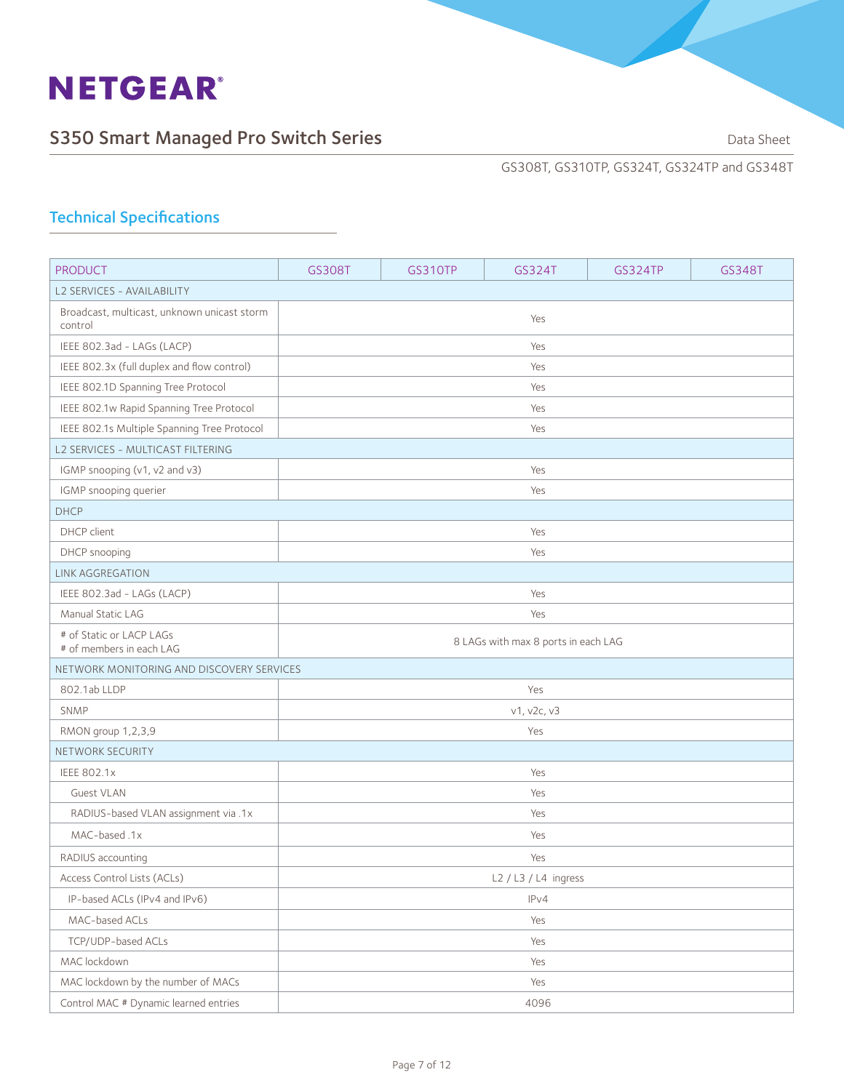

GS308T, GS310TP, GS324T, GS324TP and GS348T

| <b>PRODUCT</b>                                         | GS308T                              | <b>GS310TP</b> | GS324T                 | <b>GS324TP</b> | GS348T |  |
|--------------------------------------------------------|-------------------------------------|----------------|------------------------|----------------|--------|--|
| L2 SERVICES - AVAILABILITY                             |                                     |                |                        |                |        |  |
| Broadcast, multicast, unknown unicast storm<br>control | Yes                                 |                |                        |                |        |  |
| IEEE 802.3ad - LAGs (LACP)                             |                                     |                | Yes                    |                |        |  |
| IEEE 802.3x (full duplex and flow control)             |                                     |                | Yes                    |                |        |  |
| IEEE 802.1D Spanning Tree Protocol                     |                                     |                | Yes                    |                |        |  |
| IEEE 802.1w Rapid Spanning Tree Protocol               |                                     |                | Yes                    |                |        |  |
| IEEE 802.1s Multiple Spanning Tree Protocol            |                                     |                | Yes                    |                |        |  |
| L2 SERVICES - MULTICAST FILTERING                      |                                     |                |                        |                |        |  |
| IGMP snooping (v1, v2 and v3)                          | Yes                                 |                |                        |                |        |  |
| IGMP snooping querier                                  |                                     |                | Yes                    |                |        |  |
| <b>DHCP</b>                                            |                                     |                |                        |                |        |  |
| DHCP client                                            |                                     |                | Yes                    |                |        |  |
| DHCP snooping                                          |                                     |                | Yes                    |                |        |  |
| <b>LINK AGGREGATION</b>                                |                                     |                |                        |                |        |  |
| IEEE 802.3ad - LAGs (LACP)                             | Yes                                 |                |                        |                |        |  |
| Manual Static LAG                                      |                                     |                | Yes                    |                |        |  |
| # of Static or LACP LAGs<br># of members in each LAG   | 8 LAGs with max 8 ports in each LAG |                |                        |                |        |  |
| NETWORK MONITORING AND DISCOVERY SERVICES              |                                     |                |                        |                |        |  |
| 802.1ab LLDP                                           |                                     |                | Yes                    |                |        |  |
| <b>SNMP</b>                                            |                                     |                | v1, v2c, v3            |                |        |  |
| RMON group 1,2,3,9                                     |                                     |                | Yes                    |                |        |  |
| NETWORK SECURITY                                       |                                     |                |                        |                |        |  |
| <b>IEEE 802.1x</b>                                     |                                     |                | Yes                    |                |        |  |
| <b>Guest VLAN</b>                                      |                                     |                | Yes                    |                |        |  |
| RADIUS-based VLAN assignment via .1x                   |                                     |                | Yes                    |                |        |  |
| MAC-based.1x                                           |                                     |                | Yes                    |                |        |  |
| RADIUS accounting                                      | Yes                                 |                |                        |                |        |  |
| Access Control Lists (ACLs)                            |                                     |                | $L2 / L3 / L4$ ingress |                |        |  |
| IP-based ACLs (IPv4 and IPv6)                          |                                     |                | IPv4                   |                |        |  |
| MAC-based ACLs                                         |                                     |                | Yes                    |                |        |  |
| TCP/UDP-based ACLs                                     |                                     |                | Yes                    |                |        |  |
| MAC lockdown                                           |                                     |                | Yes                    |                |        |  |
| MAC lockdown by the number of MACs                     |                                     |                | Yes                    |                |        |  |
| Control MAC # Dynamic learned entries                  | 4096                                |                |                        |                |        |  |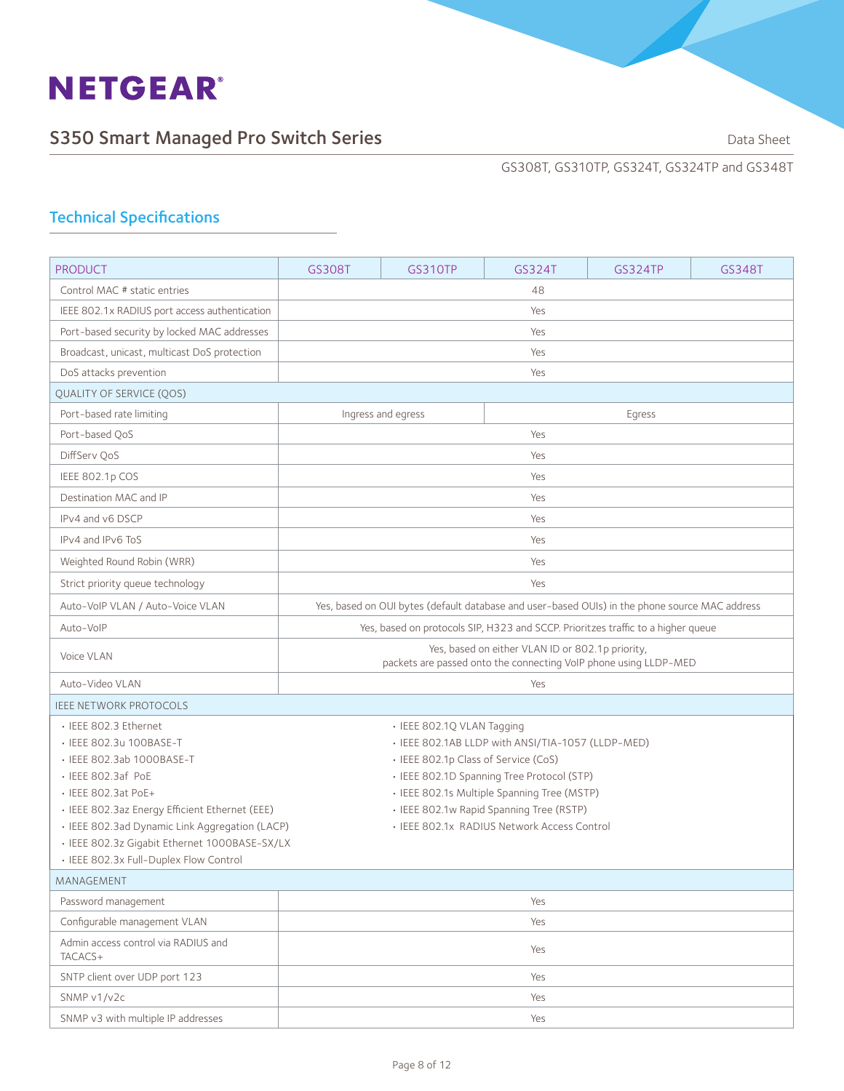

GS308T, GS310TP, GS324T, GS324TP and GS348T

| <b>PRODUCT</b>                                                        | GS308T                                                                                                               | GS310TP                                                                                   | GS324T | GS324TP | GS348T |  |
|-----------------------------------------------------------------------|----------------------------------------------------------------------------------------------------------------------|-------------------------------------------------------------------------------------------|--------|---------|--------|--|
| Control MAC # static entries                                          |                                                                                                                      |                                                                                           | 48     |         |        |  |
| IEEE 802.1x RADIUS port access authentication                         | Yes                                                                                                                  |                                                                                           |        |         |        |  |
| Port-based security by locked MAC addresses                           | Yes                                                                                                                  |                                                                                           |        |         |        |  |
| Broadcast, unicast, multicast DoS protection                          |                                                                                                                      |                                                                                           | Yes    |         |        |  |
| DoS attacks prevention                                                | Yes                                                                                                                  |                                                                                           |        |         |        |  |
| <b>QUALITY OF SERVICE (QOS)</b>                                       |                                                                                                                      |                                                                                           |        |         |        |  |
| Port-based rate limiting                                              |                                                                                                                      | Ingress and egress                                                                        |        | Egress  |        |  |
| Port-based QoS                                                        |                                                                                                                      |                                                                                           | Yes    |         |        |  |
| DiffServ OoS                                                          |                                                                                                                      |                                                                                           | Yes    |         |        |  |
| IEEE 802.1p COS                                                       |                                                                                                                      |                                                                                           | Yes    |         |        |  |
| Destination MAC and IP                                                |                                                                                                                      |                                                                                           | Yes    |         |        |  |
| IPv4 and v6 DSCP                                                      |                                                                                                                      |                                                                                           | Yes    |         |        |  |
| IPv4 and IPv6 ToS                                                     |                                                                                                                      |                                                                                           | Yes    |         |        |  |
| Weighted Round Robin (WRR)                                            |                                                                                                                      |                                                                                           | Yes    |         |        |  |
| Strict priority queue technology                                      | Yes                                                                                                                  |                                                                                           |        |         |        |  |
| Auto-VoIP VLAN / Auto-Voice VLAN                                      | Yes, based on OUI bytes (default database and user-based OUIs) in the phone source MAC address                       |                                                                                           |        |         |        |  |
| Auto-VoIP                                                             | Yes, based on protocols SIP, H323 and SCCP. Prioritzes traffic to a higher queue                                     |                                                                                           |        |         |        |  |
| Voice VLAN                                                            | Yes, based on either VLAN ID or 802.1p priority,<br>packets are passed onto the connecting VoIP phone using LLDP-MED |                                                                                           |        |         |        |  |
| Auto-Video VLAN                                                       | Yes                                                                                                                  |                                                                                           |        |         |        |  |
| <b>IEEE NETWORK PROTOCOLS</b>                                         |                                                                                                                      |                                                                                           |        |         |        |  |
| · IEEE 802.3 Ethernet                                                 |                                                                                                                      | · IEEE 802.1Q VLAN Tagging                                                                |        |         |        |  |
| • IEEE 802.3u 100BASE-T                                               | • IEEE 802.1AB LLDP with ANSI/TIA-1057 (LLDP-MED)                                                                    |                                                                                           |        |         |        |  |
| • IEEE 802.3ab 1000BASE-T                                             | • IEEE 802.1p Class of Service (CoS)                                                                                 |                                                                                           |        |         |        |  |
| · IEEE 802.3af PoE                                                    |                                                                                                                      | · IEEE 802.1D Spanning Tree Protocol (STP)<br>· IEEE 802.1s Multiple Spanning Tree (MSTP) |        |         |        |  |
| • IEEE 802.3at PoE+<br>· IEEE 802.3az Energy Efficient Ethernet (EEE) |                                                                                                                      |                                                                                           |        |         |        |  |
| · IEEE 802.3ad Dynamic Link Aggregation (LACP)                        | · IEEE 802.1w Rapid Spanning Tree (RSTP)<br>· IEEE 802.1x RADIUS Network Access Control                              |                                                                                           |        |         |        |  |
| · IEEE 802.3z Gigabit Ethernet 1000BASE-SX/LX                         |                                                                                                                      |                                                                                           |        |         |        |  |
| · IEEE 802.3x Full-Duplex Flow Control                                |                                                                                                                      |                                                                                           |        |         |        |  |
| MANAGEMENT                                                            |                                                                                                                      |                                                                                           |        |         |        |  |
| Password management                                                   |                                                                                                                      |                                                                                           | Yes    |         |        |  |
| Configurable management VLAN                                          |                                                                                                                      |                                                                                           | Yes    |         |        |  |
| Admin access control via RADIUS and<br>TACACS+                        |                                                                                                                      |                                                                                           | Yes    |         |        |  |
| SNTP client over UDP port 123                                         |                                                                                                                      | Yes                                                                                       |        |         |        |  |
| SNMP v1/v2c                                                           | Yes                                                                                                                  |                                                                                           |        |         |        |  |
| SNMP v3 with multiple IP addresses                                    |                                                                                                                      |                                                                                           | Yes    |         |        |  |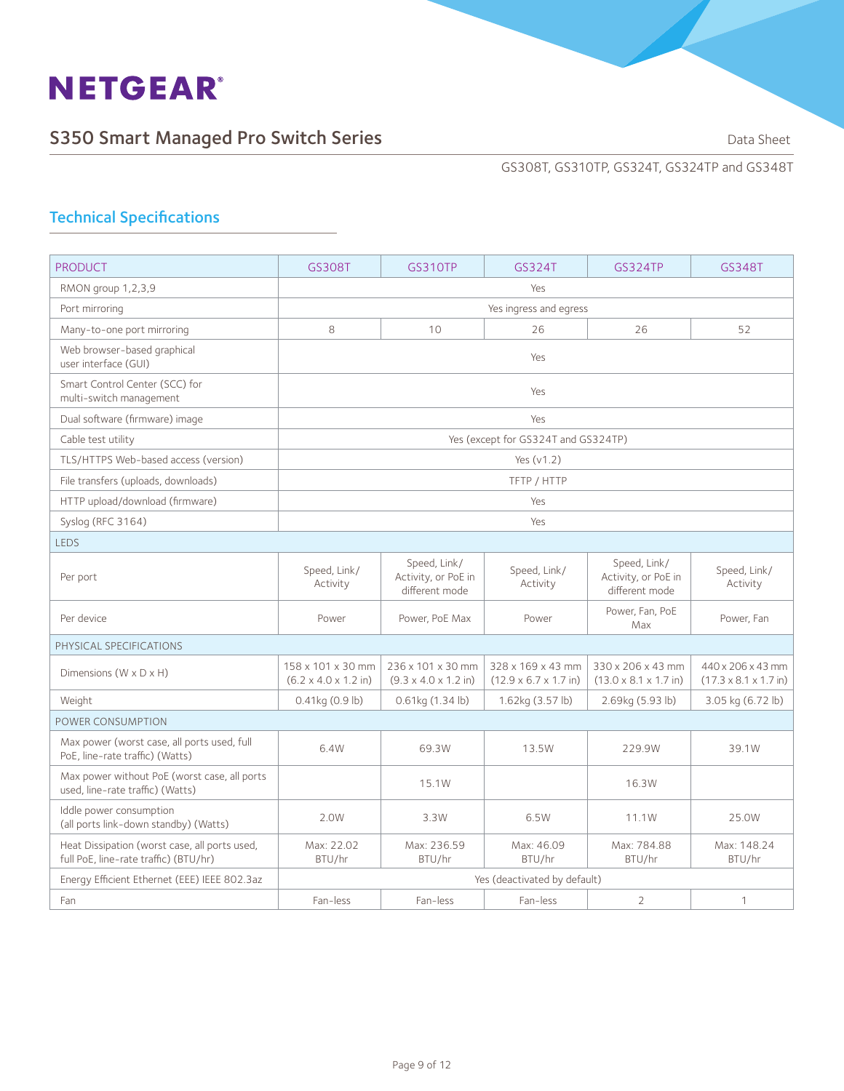

GS308T, GS310TP, GS324T, GS324TP and GS348T

| <b>PRODUCT</b>                                                                         | GS308T                                                        | <b>GS310TP</b>                                                | GS324T                                                         | <b>GS324TP</b>                                          | GS348T                                                         |  |  |
|----------------------------------------------------------------------------------------|---------------------------------------------------------------|---------------------------------------------------------------|----------------------------------------------------------------|---------------------------------------------------------|----------------------------------------------------------------|--|--|
| RMON group 1,2,3,9                                                                     |                                                               |                                                               | Yes                                                            |                                                         |                                                                |  |  |
| Port mirroring                                                                         |                                                               | Yes ingress and egress                                        |                                                                |                                                         |                                                                |  |  |
| Many-to-one port mirroring                                                             | 8                                                             | 10                                                            | 26                                                             | 26                                                      | 52                                                             |  |  |
| Web browser-based graphical<br>user interface (GUI)                                    |                                                               |                                                               | Yes                                                            |                                                         |                                                                |  |  |
| Smart Control Center (SCC) for<br>multi-switch management                              |                                                               |                                                               | Yes                                                            |                                                         |                                                                |  |  |
| Dual software (firmware) image                                                         |                                                               |                                                               | Yes                                                            |                                                         |                                                                |  |  |
| Cable test utility                                                                     |                                                               |                                                               | Yes (except for GS324T and GS324TP)                            |                                                         |                                                                |  |  |
| TLS/HTTPS Web-based access (version)                                                   |                                                               |                                                               | Yes $(v1.2)$                                                   |                                                         |                                                                |  |  |
| File transfers (uploads, downloads)                                                    |                                                               |                                                               | TFTP / HTTP                                                    |                                                         |                                                                |  |  |
| HTTP upload/download (firmware)                                                        |                                                               |                                                               | Yes                                                            |                                                         |                                                                |  |  |
| Syslog (RFC 3164)                                                                      |                                                               |                                                               | Yes                                                            |                                                         |                                                                |  |  |
| <b>LEDS</b>                                                                            |                                                               |                                                               |                                                                |                                                         |                                                                |  |  |
| Per port                                                                               | Speed, Link/<br>Activity                                      | Speed, Link/<br>Activity, or PoE in<br>different mode         | Speed, Link/<br>Activity                                       | Speed, Link/<br>Activity, or PoE in<br>different mode   | Speed, Link/<br>Activity                                       |  |  |
| Per device                                                                             | Power                                                         | Power, PoE Max                                                | Power                                                          | Power, Fan, PoE<br>Max                                  | Power, Fan                                                     |  |  |
| PHYSICAL SPECIFICATIONS                                                                |                                                               |                                                               |                                                                |                                                         |                                                                |  |  |
| Dimensions $(W \times D \times H)$                                                     | 158 x 101 x 30 mm<br>$(6.2 \times 4.0 \times 1.2 \text{ in})$ | 236 x 101 x 30 mm<br>$(9.3 \times 4.0 \times 1.2 \text{ in})$ | 328 x 169 x 43 mm<br>$(12.9 \times 6.7 \times 1.7 \text{ in})$ | 330 x 206 x 43 mm<br>$(13.0 \times 8.1 \times 1.7)$ in) | 440 x 206 x 43 mm<br>$(17.3 \times 8.1 \times 1.7 \text{ in})$ |  |  |
| Weight                                                                                 | $0.41$ kg $(0.9$ lb)                                          | $0.61$ kg $(1.34$ lb)                                         | 1.62kg (3.57 lb)                                               | 2.69kg (5.93 lb)                                        | 3.05 kg (6.72 lb)                                              |  |  |
| POWER CONSUMPTION                                                                      |                                                               |                                                               |                                                                |                                                         |                                                                |  |  |
| Max power (worst case, all ports used, full<br>PoE. line-rate traffic) (Watts)         | 6.4W                                                          | 69.3W                                                         | 13.5W                                                          | 229.9W                                                  | 39.1W                                                          |  |  |
| Max power without PoE (worst case, all ports<br>used, line-rate traffic) (Watts)       |                                                               | 15.1W                                                         |                                                                | 16.3W                                                   |                                                                |  |  |
| Iddle power consumption<br>(all ports link-down standby) (Watts)                       | 2.0W                                                          | 3.3W                                                          | 6.5W                                                           | 11.1W                                                   | 25.0W                                                          |  |  |
| Heat Dissipation (worst case, all ports used,<br>full PoE, line-rate traffic) (BTU/hr) | Max: 22.02<br>BTU/hr                                          | Max: 236.59<br>BTU/hr                                         | Max: 46.09<br>BTU/hr                                           | Max: 784.88<br>BTU/hr                                   | Max: 148.24<br>BTU/hr                                          |  |  |
| Energy Efficient Ethernet (EEE) IEEE 802.3az                                           |                                                               |                                                               | Yes (deactivated by default)                                   |                                                         |                                                                |  |  |
| Fan                                                                                    | Fan-less                                                      | Fan-less                                                      | Fan-less                                                       | $\overline{2}$                                          | $\mathbf{1}$                                                   |  |  |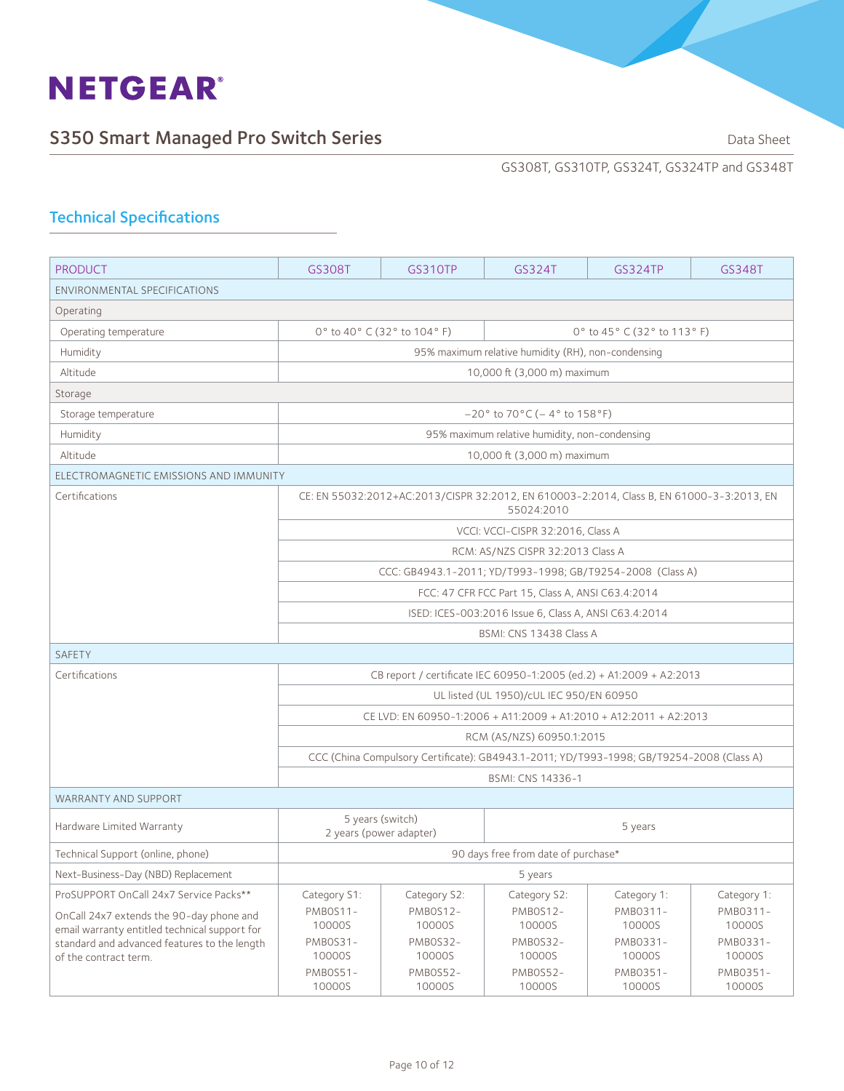

GS308T, GS310TP, GS324T, GS324TP and GS348T

| <b>PRODUCT</b>                                                                                | GS308T                                                    | GS310TP                                                    | GS324T                                                                                                  | <b>GS324TP</b>     | GS348T             |  |
|-----------------------------------------------------------------------------------------------|-----------------------------------------------------------|------------------------------------------------------------|---------------------------------------------------------------------------------------------------------|--------------------|--------------------|--|
| ENVIRONMENTAL SPECIFICATIONS                                                                  |                                                           |                                                            |                                                                                                         |                    |                    |  |
| Operating                                                                                     |                                                           |                                                            |                                                                                                         |                    |                    |  |
| Operating temperature                                                                         |                                                           | 0° to 40° C (32° to 104° F)<br>0° to 45° C (32° to 113° F) |                                                                                                         |                    |                    |  |
| Humidity                                                                                      |                                                           |                                                            | 95% maximum relative humidity (RH), non-condensing                                                      |                    |                    |  |
| Altitude                                                                                      |                                                           |                                                            | 10,000 ft (3,000 m) maximum                                                                             |                    |                    |  |
| Storage                                                                                       |                                                           |                                                            |                                                                                                         |                    |                    |  |
| Storage temperature                                                                           |                                                           |                                                            | $-20^{\circ}$ to $70^{\circ}$ C (-4° to $158^{\circ}$ F)                                                |                    |                    |  |
| Humidity                                                                                      |                                                           |                                                            | 95% maximum relative humidity, non-condensing                                                           |                    |                    |  |
| Altitude                                                                                      |                                                           |                                                            | 10,000 ft (3,000 m) maximum                                                                             |                    |                    |  |
| ELECTROMAGNETIC EMISSIONS AND IMMUNITY                                                        |                                                           |                                                            |                                                                                                         |                    |                    |  |
| Certifications                                                                                |                                                           |                                                            | CE: EN 55032:2012+AC:2013/CISPR 32:2012, EN 610003-2:2014, Class B, EN 61000-3-3:2013, EN<br>55024:2010 |                    |                    |  |
|                                                                                               |                                                           |                                                            | VCCI: VCCI-CISPR 32:2016, Class A                                                                       |                    |                    |  |
|                                                                                               |                                                           |                                                            | RCM: AS/NZS CISPR 32:2013 Class A                                                                       |                    |                    |  |
|                                                                                               | CCC: GB4943.1-2011; YD/T993-1998; GB/T9254-2008 (Class A) |                                                            |                                                                                                         |                    |                    |  |
|                                                                                               | FCC: 47 CFR FCC Part 15, Class A, ANSI C63.4:2014         |                                                            |                                                                                                         |                    |                    |  |
|                                                                                               | ISED: ICES-003:2016 Issue 6, Class A, ANSI C63.4:2014     |                                                            |                                                                                                         |                    |                    |  |
|                                                                                               | BSMI: CNS 13438 Class A                                   |                                                            |                                                                                                         |                    |                    |  |
| <b>SAFETY</b>                                                                                 |                                                           |                                                            |                                                                                                         |                    |                    |  |
| Certifications                                                                                |                                                           |                                                            | CB report / certificate IEC 60950-1:2005 (ed.2) + A1:2009 + A2:2013                                     |                    |                    |  |
|                                                                                               |                                                           |                                                            | UL listed (UL 1950)/cUL IEC 950/EN 60950                                                                |                    |                    |  |
|                                                                                               |                                                           |                                                            | CE LVD: EN 60950-1:2006 + A11:2009 + A1:2010 + A12:2011 + A2:2013                                       |                    |                    |  |
|                                                                                               |                                                           |                                                            | RCM (AS/NZS) 60950.1:2015                                                                               |                    |                    |  |
|                                                                                               |                                                           |                                                            | CCC (China Compulsory Certificate): GB4943.1-2011; YD/T993-1998; GB/T9254-2008 (Class A)                |                    |                    |  |
|                                                                                               |                                                           |                                                            | BSMI: CNS 14336-1                                                                                       |                    |                    |  |
| <b>WARRANTY AND SUPPORT</b>                                                                   |                                                           |                                                            |                                                                                                         |                    |                    |  |
| Hardware Limited Warranty                                                                     | 2 years (power adapter)                                   | 5 years (switch)                                           |                                                                                                         | 5 years            |                    |  |
| Technical Support (online, phone)                                                             | 90 days free from date of purchase*                       |                                                            |                                                                                                         |                    |                    |  |
| Next-Business-Day (NBD) Replacement                                                           |                                                           |                                                            | 5 years                                                                                                 |                    |                    |  |
| ProSUPPORT OnCall 24x7 Service Packs**                                                        | Category S1:                                              | Category S2:                                               | Category S2:                                                                                            | Category 1:        | Category 1:        |  |
| OnCall 24x7 extends the 90-day phone and                                                      | PMBOS11-<br>10000S                                        | PMBOS12-                                                   | PMBOS12-<br>10000S                                                                                      | PMB0311-           | PMB0311-           |  |
| email warranty entitled technical support for<br>standard and advanced features to the length | PMB0S31-                                                  | 10000S<br>PMB0S32-                                         | PMB0S32-                                                                                                | 10000S<br>PMB0331- | 10000S<br>PMB0331- |  |
| of the contract term.                                                                         | 10000S                                                    | 10000S                                                     | 10000S                                                                                                  | 10000S             | 10000S             |  |
|                                                                                               | PMB0S51-<br>10000S                                        | PMBOS52-<br>10000S                                         | PMB0S52-<br>10000S                                                                                      | PMB0351-<br>10000S | PMB0351-<br>10000S |  |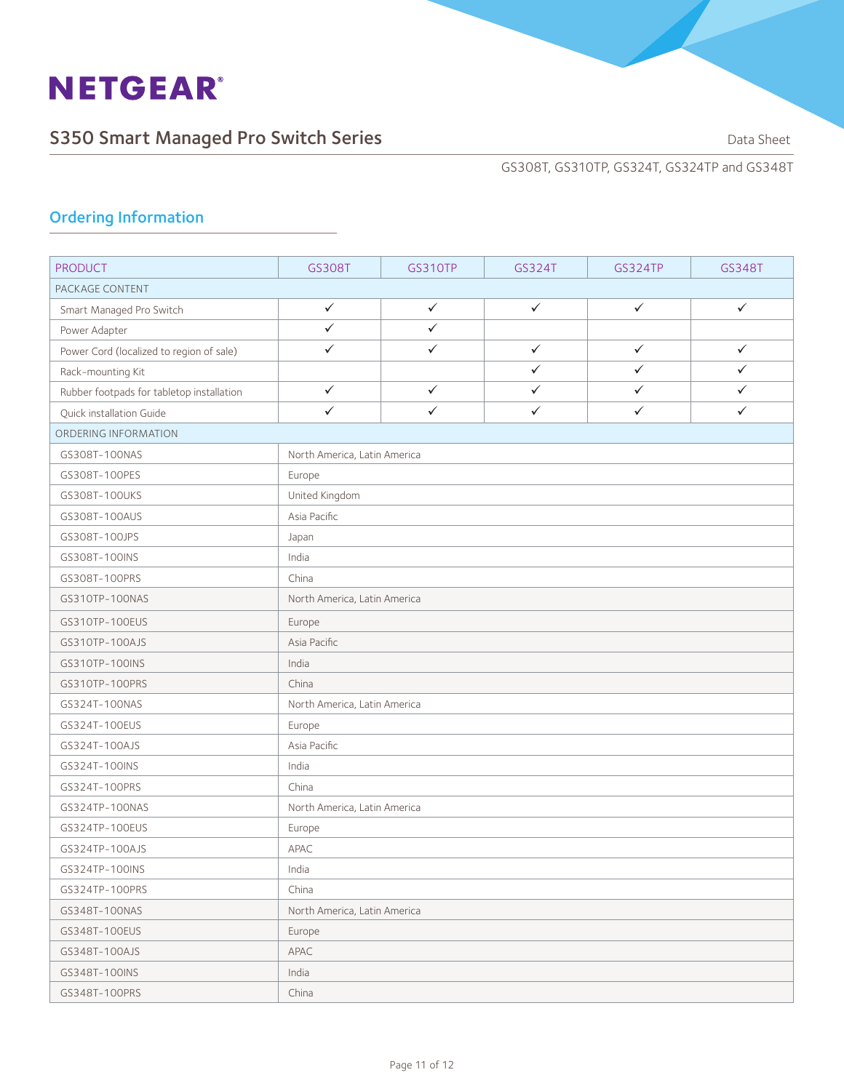

## S350 Smart Managed Pro Switch Series **Sandware Communist Contains Containers** Data Sheet

GS308T, GS310TP, GS324T, GS324TP and GS348T

## Ordering Information

| <b>PRODUCT</b>                            | GS308T                       | <b>GS310TP</b> | GS324T       | <b>GS324TP</b> | GS348T       |  |
|-------------------------------------------|------------------------------|----------------|--------------|----------------|--------------|--|
| PACKAGE CONTENT                           |                              |                |              |                |              |  |
| Smart Managed Pro Switch                  | $\checkmark$                 | $\checkmark$   | $\checkmark$ | $\checkmark$   | $\checkmark$ |  |
| Power Adapter                             | $\checkmark$                 | $\checkmark$   |              |                |              |  |
| Power Cord (localized to region of sale)  | $\checkmark$                 | $\checkmark$   | $\checkmark$ | $\checkmark$   | $\checkmark$ |  |
| Rack-mounting Kit                         |                              |                | $\checkmark$ | $\checkmark$   | $\checkmark$ |  |
| Rubber footpads for tabletop installation | $\checkmark$                 | $\checkmark$   | $\checkmark$ | $\checkmark$   | $\checkmark$ |  |
| Quick installation Guide                  | $\checkmark$                 | $\checkmark$   | $\checkmark$ | $\checkmark$   | $\checkmark$ |  |
| ORDERING INFORMATION                      |                              |                |              |                |              |  |
| GS308T-100NAS                             | North America, Latin America |                |              |                |              |  |
| GS308T-100PES                             | Europe                       |                |              |                |              |  |
| GS308T-100UKS                             | United Kingdom               |                |              |                |              |  |
| GS308T-100AUS                             | Asia Pacific                 |                |              |                |              |  |
| GS308T-100JPS                             | Japan                        |                |              |                |              |  |
| GS308T-100INS                             | India                        |                |              |                |              |  |
| GS308T-100PRS                             | China                        |                |              |                |              |  |
| GS310TP-100NAS                            | North America, Latin America |                |              |                |              |  |
| GS310TP-100EUS                            | Europe                       |                |              |                |              |  |
| GS310TP-100AJS                            | Asia Pacific                 |                |              |                |              |  |
| GS310TP-100INS                            | India                        |                |              |                |              |  |
| GS310TP-100PRS                            | China                        |                |              |                |              |  |
| GS324T-100NAS                             | North America, Latin America |                |              |                |              |  |
| GS324T-100EUS                             | Europe                       |                |              |                |              |  |
| GS324T-100AJS                             | Asia Pacific                 |                |              |                |              |  |
| GS324T-100INS                             | India                        |                |              |                |              |  |
| GS324T-100PRS                             | China                        |                |              |                |              |  |
| GS324TP-100NAS                            | North America, Latin America |                |              |                |              |  |
| GS324TP-100EUS                            | Europe                       |                |              |                |              |  |
| GS324TP-100AJS                            | APAC                         |                |              |                |              |  |
| GS324TP-100INS                            | India                        |                |              |                |              |  |
| GS324TP-100PRS                            | China                        |                |              |                |              |  |
| GS348T-100NAS                             | North America, Latin America |                |              |                |              |  |
| GS348T-100EUS                             | Europe                       |                |              |                |              |  |
| GS348T-100AJS                             | APAC                         |                |              |                |              |  |
| GS348T-100INS                             | India                        |                |              |                |              |  |
| GS348T-100PRS                             | China                        |                |              |                |              |  |